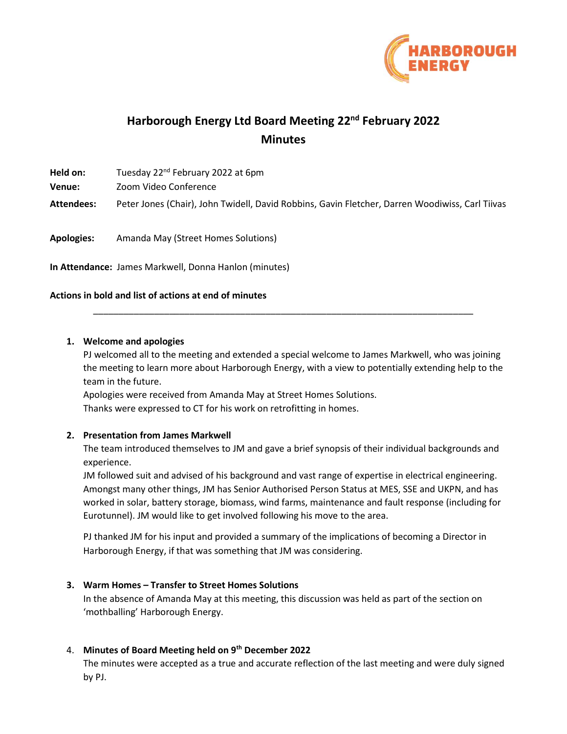

# **Harborough Energy Ltd Board Meeting 22nd February 2022 Minutes**

| Held on:          | Tuesday 22 <sup>nd</sup> February 2022 at 6pm                                                   |
|-------------------|-------------------------------------------------------------------------------------------------|
| Venue:            | Zoom Video Conference                                                                           |
| Attendees:        | Peter Jones (Chair), John Twidell, David Robbins, Gavin Fletcher, Darren Woodiwiss, Carl Tiivas |
| <b>Apologies:</b> | Amanda May (Street Homes Solutions)                                                             |

**In Attendance:** James Markwell, Donna Hanlon (minutes)

## **Actions in bold and list of actions at end of minutes**

#### **1. Welcome and apologies**

PJ welcomed all to the meeting and extended a special welcome to James Markwell, who was joining the meeting to learn more about Harborough Energy, with a view to potentially extending help to the team in the future.

\_\_\_\_\_\_\_\_\_\_\_\_\_\_\_\_\_\_\_\_\_\_\_\_\_\_\_\_\_\_\_\_\_\_\_\_\_\_\_\_\_\_\_\_\_\_\_\_\_\_\_\_\_\_\_\_\_\_\_\_\_\_\_\_\_\_\_\_\_\_\_\_\_\_\_

Apologies were received from Amanda May at Street Homes Solutions. Thanks were expressed to CT for his work on retrofitting in homes.

## **2. Presentation from James Markwell**

The team introduced themselves to JM and gave a brief synopsis of their individual backgrounds and experience.

JM followed suit and advised of his background and vast range of expertise in electrical engineering. Amongst many other things, JM has Senior Authorised Person Status at MES, SSE and UKPN, and has worked in solar, battery storage, biomass, wind farms, maintenance and fault response (including for Eurotunnel). JM would like to get involved following his move to the area.

PJ thanked JM for his input and provided a summary of the implications of becoming a Director in Harborough Energy, if that was something that JM was considering.

## **3. Warm Homes – Transfer to Street Homes Solutions**

In the absence of Amanda May at this meeting, this discussion was held as part of the section on 'mothballing' Harborough Energy.

## 4. **Minutes of Board Meeting held on 9th December 2022**

The minutes were accepted as a true and accurate reflection of the last meeting and were duly signed by PJ.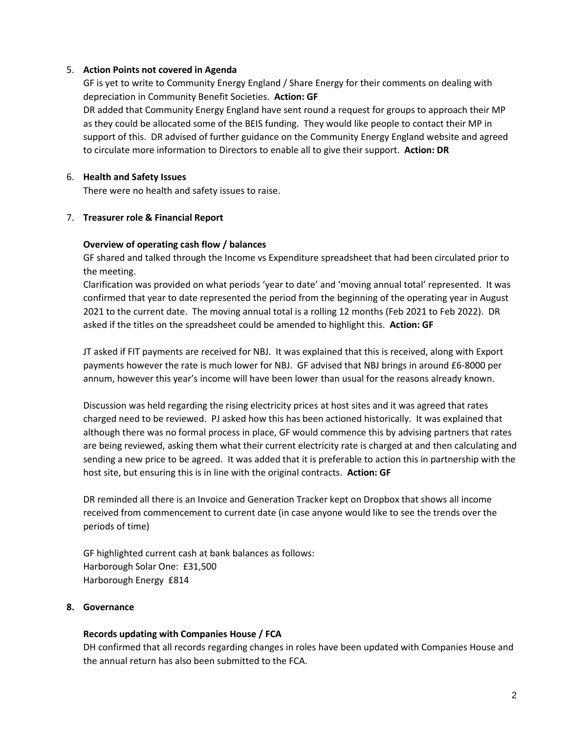## 5. **Action Points not covered in Agenda**

GF is yet to write to Community Energy England / Share Energy for their comments on dealing with depreciation in Community Benefit Societies. **Action: GF**

DR added that Community Energy England have sent round a request for groups to approach their MP as they could be allocated some of the BEIS funding. They would like people to contact their MP in support of this. DR advised of further guidance on the Community Energy England website and agreed to circulate more information to Directors to enable all to give their support. **Action: DR**

#### 6. **Health and Safety Issues**

There were no health and safety issues to raise.

#### 7. **Treasurer role & Financial Report**

#### **Overview of operating cash flow / balances**

GF shared and talked through the Income vs Expenditure spreadsheet that had been circulated prior to the meeting.

Clarification was provided on what periods 'year to date' and 'moving annual total' represented. It was confirmed that year to date represented the period from the beginning of the operating year in August 2021 to the current date. The moving annual total is a rolling 12 months (Feb 2021 to Feb 2022). DR asked if the titles on the spreadsheet could be amended to highlight this. **Action: GF**

JT asked if FIT payments are received for NBJ. It was explained that this is received, along with Export payments however the rate is much lower for NBJ. GF advised that NBJ brings in around £6-8000 per annum, however this year's income will have been lower than usual for the reasons already known.

Discussion was held regarding the rising electricity prices at host sites and it was agreed that rates charged need to be reviewed. PJ asked how this has been actioned historically. It was explained that although there was no formal process in place, GF would commence this by advising partners that rates are being reviewed, asking them what their current electricity rate is charged at and then calculating and sending a new price to be agreed. It was added that it is preferable to action this in partnership with the host site, but ensuring this is in line with the original contracts. **Action: GF**

DR reminded all there is an Invoice and Generation Tracker kept on Dropbox that shows all income received from commencement to current date (in case anyone would like to see the trends over the periods of time)

GF highlighted current cash at bank balances as follows: Harborough Solar One: £31,500 Harborough Energy £814

#### **8. Governance**

#### **Records updating with Companies House / FCA**

DH confirmed that all records regarding changes in roles have been updated with Companies House and the annual return has also been submitted to the FCA.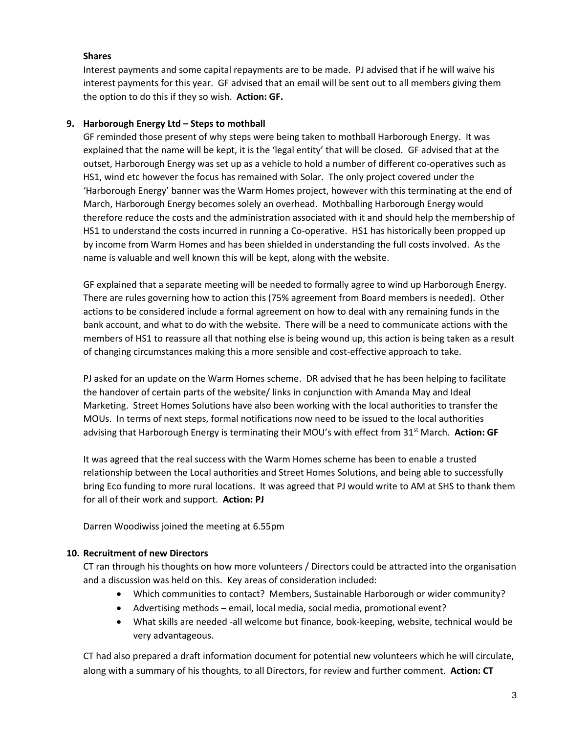# **Shares**

Interest payments and some capital repayments are to be made. PJ advised that if he will waive his interest payments for this year. GF advised that an email will be sent out to all members giving them the option to do this if they so wish. **Action: GF.** 

## **9. Harborough Energy Ltd – Steps to mothball**

GF reminded those present of why steps were being taken to mothball Harborough Energy. It was explained that the name will be kept, it is the 'legal entity' that will be closed. GF advised that at the outset, Harborough Energy was set up as a vehicle to hold a number of different co-operatives such as HS1, wind etc however the focus has remained with Solar. The only project covered under the 'Harborough Energy' banner was the Warm Homes project, however with this terminating at the end of March, Harborough Energy becomes solely an overhead. Mothballing Harborough Energy would therefore reduce the costs and the administration associated with it and should help the membership of HS1 to understand the costs incurred in running a Co-operative. HS1 has historically been propped up by income from Warm Homes and has been shielded in understanding the full costs involved. As the name is valuable and well known this will be kept, along with the website.

GF explained that a separate meeting will be needed to formally agree to wind up Harborough Energy. There are rules governing how to action this (75% agreement from Board members is needed). Other actions to be considered include a formal agreement on how to deal with any remaining funds in the bank account, and what to do with the website. There will be a need to communicate actions with the members of HS1 to reassure all that nothing else is being wound up, this action is being taken as a result of changing circumstances making this a more sensible and cost-effective approach to take.

PJ asked for an update on the Warm Homes scheme. DR advised that he has been helping to facilitate the handover of certain parts of the website/ links in conjunction with Amanda May and Ideal Marketing. Street Homes Solutions have also been working with the local authorities to transfer the MOUs. In terms of next steps, formal notifications now need to be issued to the local authorities advising that Harborough Energy is terminating their MOU's with effect from 31<sup>st</sup> March. Action: GF

It was agreed that the real success with the Warm Homes scheme has been to enable a trusted relationship between the Local authorities and Street Homes Solutions, and being able to successfully bring Eco funding to more rural locations. It was agreed that PJ would write to AM at SHS to thank them for all of their work and support. **Action: PJ** 

Darren Woodiwiss joined the meeting at 6.55pm

# **10. Recruitment of new Directors**

CT ran through his thoughts on how more volunteers / Directors could be attracted into the organisation and a discussion was held on this. Key areas of consideration included:

- Which communities to contact? Members, Sustainable Harborough or wider community?
- Advertising methods email, local media, social media, promotional event?
- What skills are needed -all welcome but finance, book-keeping, website, technical would be very advantageous.

CT had also prepared a draft information document for potential new volunteers which he will circulate, along with a summary of his thoughts, to all Directors, for review and further comment. **Action: CT**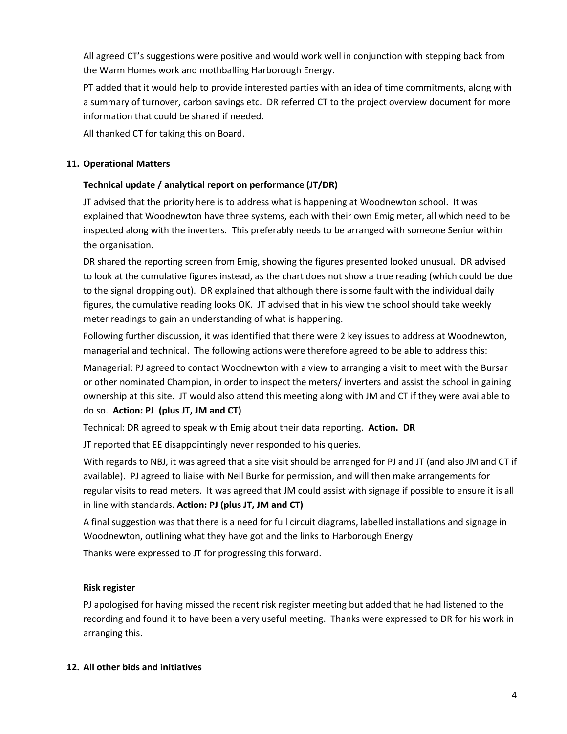All agreed CT's suggestions were positive and would work well in conjunction with stepping back from the Warm Homes work and mothballing Harborough Energy.

PT added that it would help to provide interested parties with an idea of time commitments, along with a summary of turnover, carbon savings etc. DR referred CT to the project overview document for more information that could be shared if needed.

All thanked CT for taking this on Board.

# **11. Operational Matters**

# **Technical update / analytical report on performance (JT/DR)**

JT advised that the priority here is to address what is happening at Woodnewton school. It was explained that Woodnewton have three systems, each with their own Emig meter, all which need to be inspected along with the inverters. This preferably needs to be arranged with someone Senior within the organisation.

DR shared the reporting screen from Emig, showing the figures presented looked unusual. DR advised to look at the cumulative figures instead, as the chart does not show a true reading (which could be due to the signal dropping out). DR explained that although there is some fault with the individual daily figures, the cumulative reading looks OK. JT advised that in his view the school should take weekly meter readings to gain an understanding of what is happening.

Following further discussion, it was identified that there were 2 key issues to address at Woodnewton, managerial and technical. The following actions were therefore agreed to be able to address this:

Managerial: PJ agreed to contact Woodnewton with a view to arranging a visit to meet with the Bursar or other nominated Champion, in order to inspect the meters/ inverters and assist the school in gaining ownership at this site. JT would also attend this meeting along with JM and CT if they were available to do so. **Action: PJ (plus JT, JM and CT)** 

Technical: DR agreed to speak with Emig about their data reporting. **Action. DR** 

JT reported that EE disappointingly never responded to his queries.

With regards to NBJ, it was agreed that a site visit should be arranged for PJ and JT (and also JM and CT if available). PJ agreed to liaise with Neil Burke for permission, and will then make arrangements for regular visits to read meters. It was agreed that JM could assist with signage if possible to ensure it is all in line with standards. **Action: PJ (plus JT, JM and CT)** 

A final suggestion was that there is a need for full circuit diagrams, labelled installations and signage in Woodnewton, outlining what they have got and the links to Harborough Energy

Thanks were expressed to JT for progressing this forward.

# **Risk register**

PJ apologised for having missed the recent risk register meeting but added that he had listened to the recording and found it to have been a very useful meeting. Thanks were expressed to DR for his work in arranging this.

# **12. All other bids and initiatives**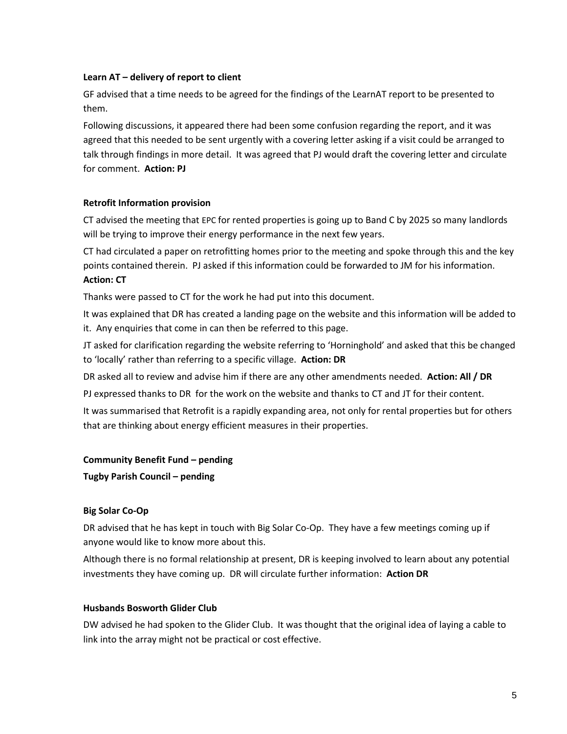## **Learn AT – delivery of report to client**

GF advised that a time needs to be agreed for the findings of the LearnAT report to be presented to them.

Following discussions, it appeared there had been some confusion regarding the report, and it was agreed that this needed to be sent urgently with a covering letter asking if a visit could be arranged to talk through findings in more detail. It was agreed that PJ would draft the covering letter and circulate for comment. **Action: PJ**

# **Retrofit Information provision**

CT advised the meeting that EPC for rented properties is going up to Band C by 2025 so many landlords will be trying to improve their energy performance in the next few years.

CT had circulated a paper on retrofitting homes prior to the meeting and spoke through this and the key points contained therein. PJ asked if this information could be forwarded to JM for his information. **Action: CT**

Thanks were passed to CT for the work he had put into this document.

It was explained that DR has created a landing page on the website and this information will be added to it. Any enquiries that come in can then be referred to this page.

JT asked for clarification regarding the website referring to 'Horninghold' and asked that this be changed to 'locally' rather than referring to a specific village. **Action: DR**

DR asked all to review and advise him if there are any other amendments needed. **Action: All / DR**

PJ expressed thanks to DR for the work on the website and thanks to CT and JT for their content.

It was summarised that Retrofit is a rapidly expanding area, not only for rental properties but for others that are thinking about energy efficient measures in their properties.

## **Community Benefit Fund – pending**

**Tugby Parish Council – pending** 

# **Big Solar Co-Op**

DR advised that he has kept in touch with Big Solar Co-Op. They have a few meetings coming up if anyone would like to know more about this.

Although there is no formal relationship at present, DR is keeping involved to learn about any potential investments they have coming up. DR will circulate further information: **Action DR** 

## **Husbands Bosworth Glider Club**

DW advised he had spoken to the Glider Club. It was thought that the original idea of laying a cable to link into the array might not be practical or cost effective.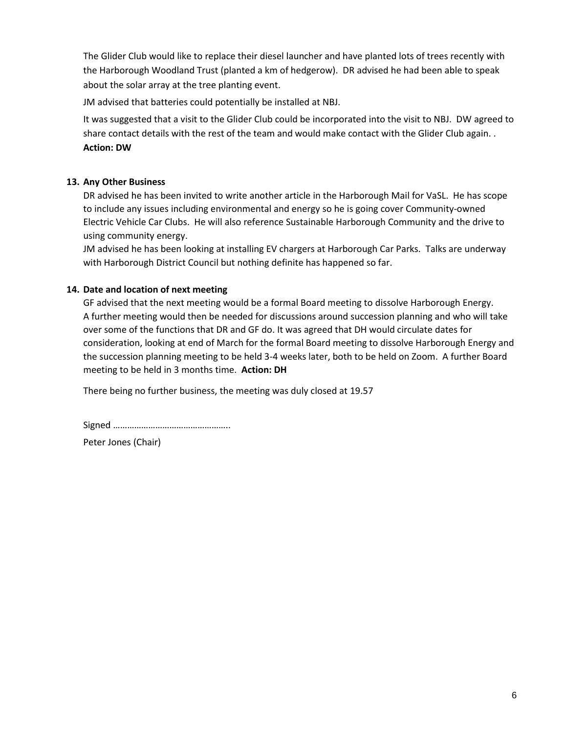The Glider Club would like to replace their diesel launcher and have planted lots of trees recently with the Harborough Woodland Trust (planted a km of hedgerow). DR advised he had been able to speak about the solar array at the tree planting event.

JM advised that batteries could potentially be installed at NBJ.

It was suggested that a visit to the Glider Club could be incorporated into the visit to NBJ. DW agreed to share contact details with the rest of the team and would make contact with the Glider Club again. . **Action: DW** 

## **13. Any Other Business**

DR advised he has been invited to write another article in the Harborough Mail for VaSL. He has scope to include any issues including environmental and energy so he is going cover Community-owned Electric Vehicle Car Clubs. He will also reference Sustainable Harborough Community and the drive to using community energy.

JM advised he has been looking at installing EV chargers at Harborough Car Parks. Talks are underway with Harborough District Council but nothing definite has happened so far.

## **14. Date and location of next meeting**

GF advised that the next meeting would be a formal Board meeting to dissolve Harborough Energy. A further meeting would then be needed for discussions around succession planning and who will take over some of the functions that DR and GF do. It was agreed that DH would circulate dates for consideration, looking at end of March for the formal Board meeting to dissolve Harborough Energy and the succession planning meeting to be held 3-4 weeks later, both to be held on Zoom. A further Board meeting to be held in 3 months time. **Action: DH**

There being no further business, the meeting was duly closed at 19.57

Signed …………………………………………..

Peter Jones (Chair)